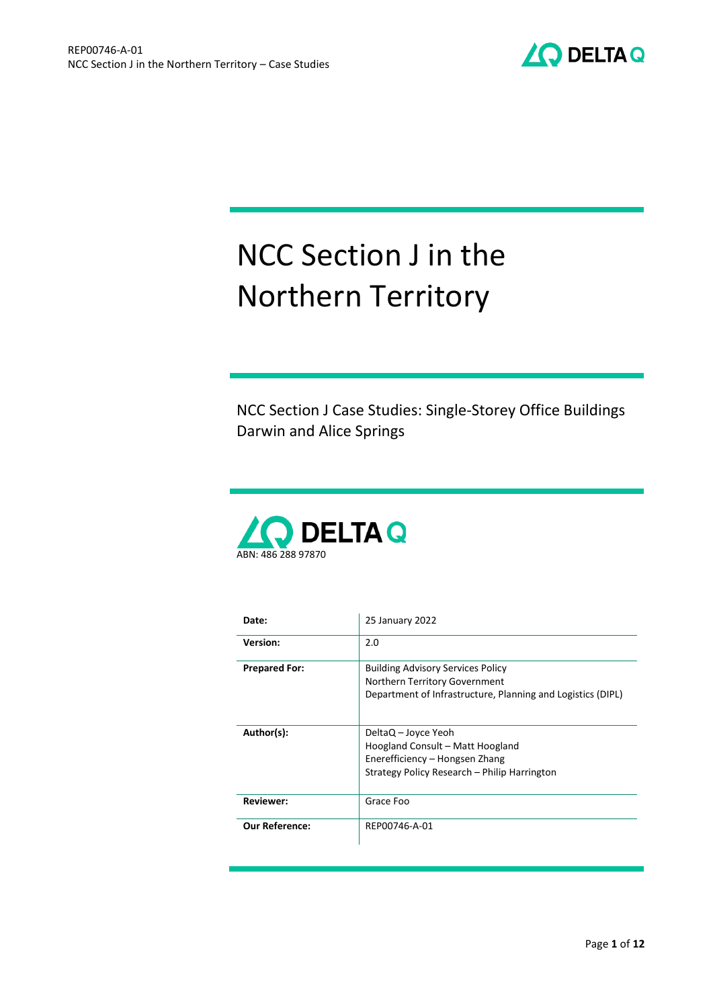

# NCC Section J in the Northern Territory

NCC Section J Case Studies: Single-Storey Office Buildings Darwin and Alice Springs



| Date:                 | 25 January 2022                                                                                                                           |  |  |
|-----------------------|-------------------------------------------------------------------------------------------------------------------------------------------|--|--|
| <b>Version:</b>       | 2.0                                                                                                                                       |  |  |
| <b>Prepared For:</b>  | <b>Building Advisory Services Policy</b><br>Northern Territory Government<br>Department of Infrastructure, Planning and Logistics (DIPL)  |  |  |
| Author(s):            | DeltaQ – Joyce Yeoh<br>Hoogland Consult - Matt Hoogland<br>Enerefficiency - Hongsen Zhang<br>Strategy Policy Research - Philip Harrington |  |  |
| <b>Reviewer:</b>      | Grace Foo                                                                                                                                 |  |  |
| <b>Our Reference:</b> | REP00746-A-01                                                                                                                             |  |  |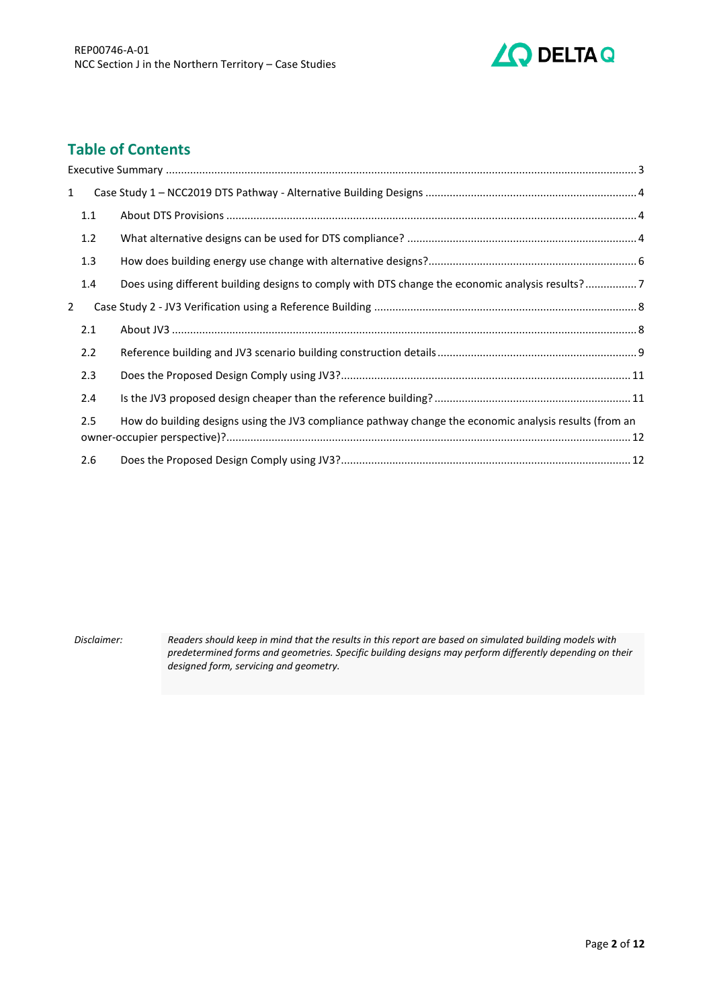

## **Table of Contents**

| $\mathbf 1$ |     |                                                                                                        |  |
|-------------|-----|--------------------------------------------------------------------------------------------------------|--|
|             | 1.1 |                                                                                                        |  |
|             | 1.2 |                                                                                                        |  |
|             | 1.3 |                                                                                                        |  |
|             | 1.4 | Does using different building designs to comply with DTS change the economic analysis results?7        |  |
| 2           |     |                                                                                                        |  |
|             | 2.1 |                                                                                                        |  |
|             | 2.2 |                                                                                                        |  |
|             | 2.3 |                                                                                                        |  |
|             | 2.4 |                                                                                                        |  |
|             | 2.5 | How do building designs using the JV3 compliance pathway change the economic analysis results (from an |  |
|             | 2.6 |                                                                                                        |  |
|             |     |                                                                                                        |  |

*Disclaimer: Readers should keep in mind that the results in this report are based on simulated building models with predetermined forms and geometries. Specific building designs may perform differently depending on their designed form, servicing and geometry.*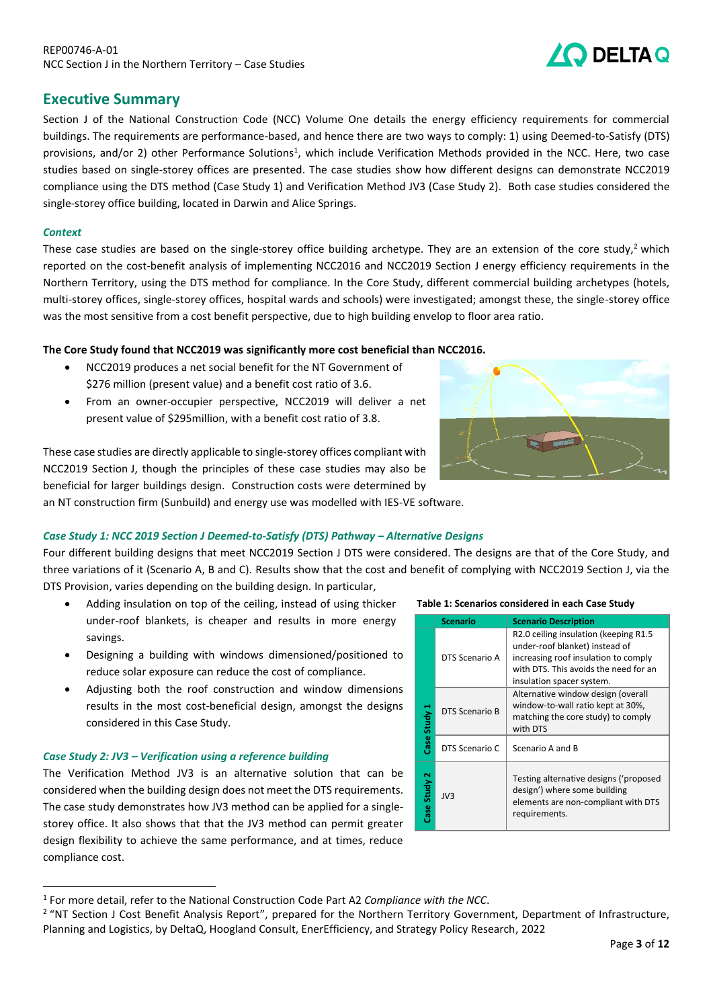## DELTA Q

## <span id="page-2-0"></span>**Executive Summary**

Section J of the National Construction Code (NCC) Volume One details the energy efficiency requirements for commercial buildings. The requirements are performance-based, and hence there are two ways to comply: 1) using Deemed-to-Satisfy (DTS) provisions, and/or 2) other Performance Solutions<sup>1</sup>, which include Verification Methods provided in the NCC. Here, two case studies based on single-storey offices are presented. The case studies show how different designs can demonstrate NCC2019 compliance using the DTS method (Case Study 1) and Verification Method JV3 (Case Study 2). Both case studies considered the single-storey office building, located in Darwin and Alice Springs.

### *Context*

These case studies are based on the single-storey office building archetype. They are an extension of the core study,<sup>2</sup> which reported on the cost-benefit analysis of implementing NCC2016 and NCC2019 Section J energy efficiency requirements in the Northern Territory, using the DTS method for compliance. In the Core Study, different commercial building archetypes (hotels, multi-storey offices, single-storey offices, hospital wards and schools) were investigated; amongst these, the single-storey office was the most sensitive from a cost benefit perspective, due to high building envelop to floor area ratio.

### **The Core Study found that NCC2019 was significantly more cost beneficial than NCC2016.**

- NCC2019 produces a net social benefit for the NT Government of \$276 million (present value) and a benefit cost ratio of 3.6.
- From an owner-occupier perspective, NCC2019 will deliver a net present value of \$295million, with a benefit cost ratio of 3.8.

These case studies are directly applicable to single-storey offices compliant with an NT construction firm (Sunbuild) and energy use was modelled with IES-VE software.



NCC2019 Section J, though the principles of these case studies may also be beneficial for larger buildings design. Construction costs were determined by

## *Case Study 1: NCC 2019 Section J Deemed-to-Satisfy (DTS) Pathway – Alternative Designs*

Four different building designs that meet NCC2019 Section J DTS were considered. The designs are that of the Core Study, and three variations of it (Scenario A, B and C). Results show that the cost and benefit of complying with NCC2019 Section J, via the DTS Provision, varies depending on the building design. In particular,

- Adding insulation on top of the ceiling, instead of using thicker under-roof blankets, is cheaper and results in more energy savings.
- Designing a building with windows dimensioned/positioned to reduce solar exposure can reduce the cost of compliance.
- Adjusting both the roof construction and window dimensions results in the most cost-beneficial design, amongst the designs considered in this Case Study.

#### *Case Study 2: JV3 – Verification using a reference building*

The Verification Method JV3 is an alternative solution that can be considered when the building design does not meet the DTS requirements. The case study demonstrates how JV3 method can be applied for a singlestorey office. It also shows that that the JV3 method can permit greater design flexibility to achieve the same performance, and at times, reduce compliance cost.

**Table 1: Scenarios considered in each Case Study** 

|              | <b>Scenario</b> | <b>Scenario Description</b>                                                                                                                                                            |
|--------------|-----------------|----------------------------------------------------------------------------------------------------------------------------------------------------------------------------------------|
|              | DTS Scenario A  | R2.0 ceiling insulation (keeping R1.5)<br>under-roof blanket) instead of<br>increasing roof insulation to comply<br>with DTS. This avoids the need for an<br>insulation spacer system. |
| Case Study 1 | DTS Scenario B  | Alternative window design (overall<br>window-to-wall ratio kept at 30%,<br>matching the core study) to comply<br>with DTS                                                              |
|              | DTS Scenario C  | Scenario A and B                                                                                                                                                                       |
| Case Study 2 | JV3             | Testing alternative designs ('proposed<br>design') where some building<br>elements are non-compliant with DTS<br>requirements.                                                         |

<sup>1</sup> For more detail, refer to the National Construction Code Part A2 *Compliance with the NCC*.

<sup>&</sup>lt;sup>2</sup> "NT Section J Cost Benefit Analysis Report", prepared for the Northern Territory Government, Department of Infrastructure, Planning and Logistics, by DeltaQ, Hoogland Consult, EnerEfficiency, and Strategy Policy Research, 2022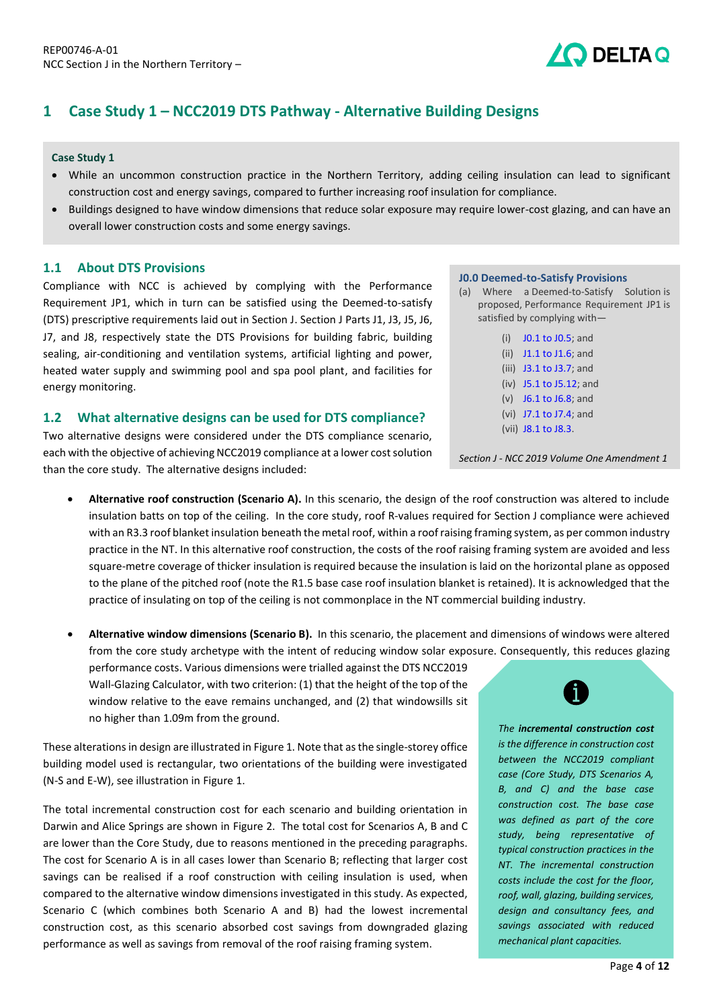## <span id="page-3-0"></span>**1 Case Study 1 – NCC2019 DTS Pathway - Alternative Building Designs**

#### **Case Study 1**

- While an uncommon construction practice in the Northern Territory, adding ceiling insulation can lead to significant construction cost and energy savings, compared to further increasing roof insulation for compliance.
- Buildings designed to have window dimensions that reduce solar exposure may require lower-cost glazing, and can have an overall lower construction costs and some energy savings.

#### **1.1 About DTS Provisions**

<span id="page-3-1"></span>Compliance with NCC is achieved by complying with the Performance Requirement JP1, which in turn can be satisfied using the Deemed-to-satisfy (DTS) prescriptive requirements laid out in Section J. Section J Parts J1, J3, J5, J6, J7, and J8, respectively state the DTS Provisions for building fabric, building sealing, air-conditioning and ventilation systems, artificial lighting and power, heated water supply and swimming pool and spa pool plant, and facilities for energy monitoring.

### <span id="page-3-2"></span>**1.2 What alternative designs can be used for DTS compliance?**

Two alternative designs were considered under the DTS compliance scenario, each with the objective of achieving NCC2019 compliance at a lower cost solution than the core study. The alternative designs included:

• **Alternative roof construction (Scenario A).** In this scenario, the design of the roof construction was altered to include insulation batts on top of the ceiling. In the core study, roof R-values required for Section J compliance were achieved with an R3.3 roof blanket insulation beneath the metal roof, within a roof raising framing system, as per common industry practice in the NT. In this alternative roof construction, the costs of the roof raising framing system are avoided and less square-metre coverage of thicker insulation is required because the insulation is laid on the horizontal plane as opposed to the plane of the pitched roof (note the R1.5 base case roof insulation blanket is retained). It is acknowledged that the practice of insulating on top of the ceiling is not commonplace in the NT commercial building industry.

• **Alternative window dimensions (Scenario B).** In this scenario, the placement and dimensions of windows were altered from the core study archetype with the intent of reducing window solar exposure. Consequently, this reduces glazing

performance costs. Various dimensions were trialled against the DTS NCC2019 Wall-Glazing Calculator, with two criterion: (1) that the height of the top of the window relative to the eave remains unchanged, and (2) that windowsills sit no higher than 1.09m from the ground.

These alterations in design are illustrated in [Figure](#page-4-0) 1. Note that as the single-storey office building model used is rectangular, two orientations of the building were investigated (N-S and E-W), see illustration i[n Figure](#page-4-0) 1.

The total incremental construction cost for each scenario and building orientation in Darwin and Alice Springs are shown in [Figure 2.](#page-5-1) The total cost for Scenarios A, B and C are lower than the Core Study, due to reasons mentioned in the preceding paragraphs. The cost for Scenario A is in all cases lower than Scenario B; reflecting that larger cost savings can be realised if a roof construction with ceiling insulation is used, when compared to the alternative window dimensions investigated in this study. As expected, Scenario C (which combines both Scenario A and B) had the lowest incremental construction cost, as this scenario absorbed cost savings from downgraded glazing performance as well as savings from removal of the roof raising framing system.

#### **J0.0 Deemed-to-Satisfy Provisions**

(a) Where a [Deemed-to-Satisfy Solution](https://ncc.abcb.gov.au/editions/2019-a1/ncc-2019-volume-three-amendment-1/schedule-3-defined-terms/schedule-3-definitions#id92257d71-8db4-4016-9d7c-88e447d08c5f) is proposed, [Performance Requirement](https://ncc.abcb.gov.au/editions/2019-a1/ncc-2019-volume-three-amendment-1/schedule-3-defined-terms/schedule-3-definitions#ide268dda4-48b1-4482-aff9-23af4805c006) [JP1](https://ncc.abcb.gov.au/editions/2019-a1/ncc-2019-volume-one-amendment-1/section-j-energy-efficiency/section-j-energy#id3e871c4b-7d6d-47f3-bbb6-dccc9ce706c4) is satisfied by complying with—

D DELTA Q

(i) [J0.1 to J0.5;](https://ncc.abcb.gov.au/editions/2019-a1/ncc-2019-volume-one-amendment-1/section-j-energy-efficiency/part-j0-energy#id404506d7-67a1-46b8-b9c9-5abbc0b77183) and (ii)  $11.1$  to  $11.6$ ; and (iii) [J3.1 to J3.7;](https://ncc.abcb.gov.au/editions/2019-a1/ncc-2019-volume-one-amendment-1/section-j-energy-efficiency/part-j3-building#id773ea441-032c-450a-be5f-c0e276999b9d) and (iv) [J5.1 to J5.12;](https://ncc.abcb.gov.au/editions/2019-a1/ncc-2019-volume-one-amendment-1/section-j-energy-efficiency/part-j5-air#ided7caf9d-efb6-41bd-8e34-a412cb9994d6) and (v) [J6.1 to J6.8;](https://ncc.abcb.gov.au/editions/2019-a1/ncc-2019-volume-one-amendment-1/section-j-energy-efficiency/part-j6-artificial#id980ecb26-e7b2-42a1-b7d5-b97dccc2883b) and (vi) [J7.1 to J7.4;](https://ncc.abcb.gov.au/editions/2019-a1/ncc-2019-volume-one-amendment-1/section-j-energy-efficiency/part-j7-heated-water#idfb8cb17c-6317-46e3-b2d4-8f5ed7af9c29) and

(vii) [J8.1 to J8.3.](https://ncc.abcb.gov.au/editions/2019-a1/ncc-2019-volume-one-amendment-1/section-j-energy-efficiency/part-j8-facilities#id236a12c0-86c6-461a-b1d2-9451a45ae9c9)

*Section J - NCC 2019 Volume One Amendment 1*



*The incremental construction cost is the difference in construction cost between the NCC2019 compliant case (Core Study, DTS Scenarios A, B, and C) and the base case construction cost. The base case was defined as part of the core study, being representative of typical construction practices in the NT. The incremental construction costs include the cost for the floor, roof, wall, glazing, building services, design and consultancy fees, and savings associated with reduced mechanical plant capacities.*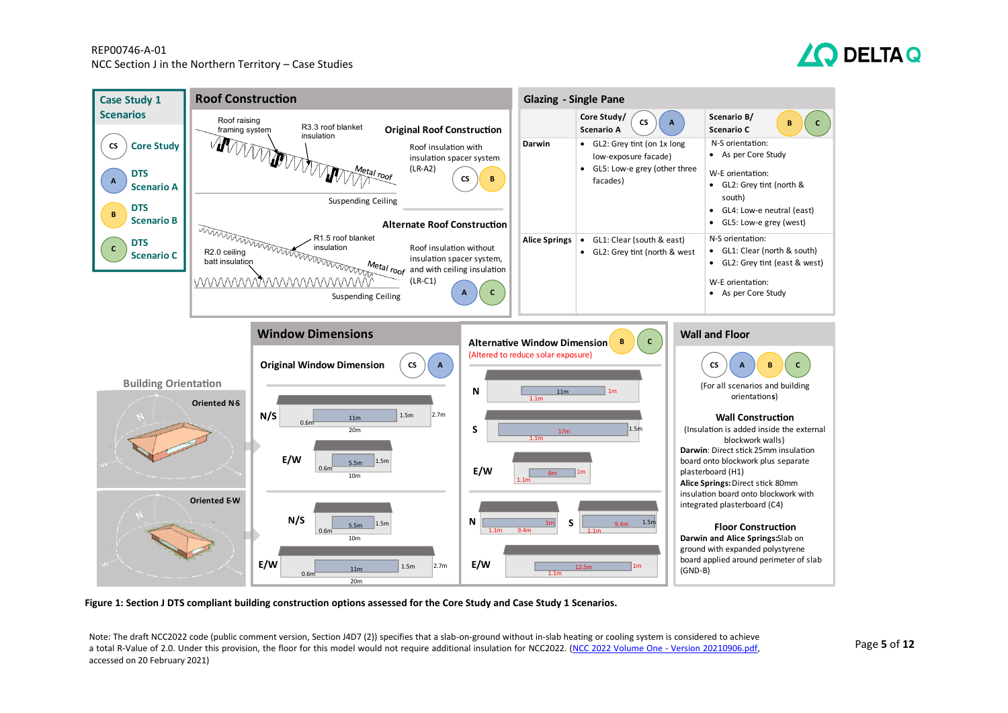#### REP00746-A-01 NCC Section J in the Northern Territory – Case Studies





**Figure 1: Section J DTS compliant building construction options assessed for the Core Study and Case Study 1 Scenarios.** 

<span id="page-4-0"></span>Note: The draft NCC2022 code (public comment version, Section J4D7 (2)) specifies that a slab-on-ground without in-slab heating or cooling system is considered to achieve a total R-Value of 2.0. Under this provision, the floor for this model would not require additional insulation for NCC2022. [\(NCC 2022 Volume One -](https://consultation.abcb.gov.au/engagement/ncc-2022-public-comment-draft-stage-2/supporting_documents/NCC%202022%20Volume%20One%20%20Version%2020210906.pdf) Version 20210906.pdf, accessed on 20 February 2021)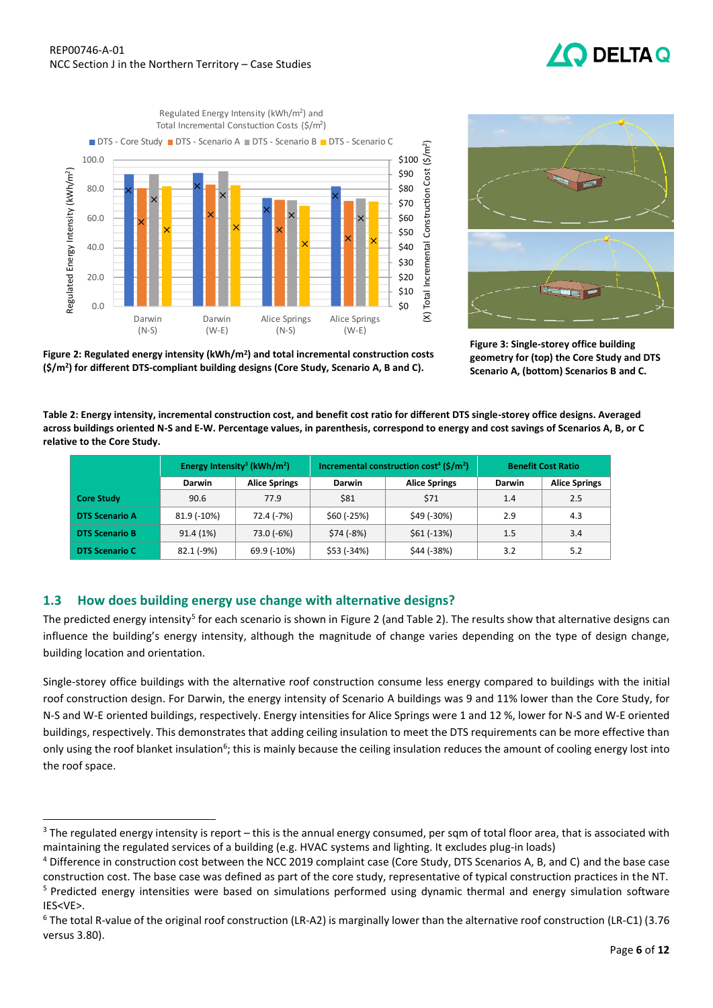## **DELTAQ**





**Figure 3: Single-storey office building geometry for (top) the Core Study and DTS Scenario A, (bottom) Scenarios B and C.**

<span id="page-5-1"></span>**Figure 2: Regulated energy intensity (kWh/m<sup>2</sup> ) and total incremental construction costs (\$/m<sup>2</sup> ) for different DTS-compliant building designs (Core Study, Scenario A, B and C).**

<span id="page-5-2"></span>**Table 2: Energy intensity, incremental construction cost, and benefit cost ratio for different DTS single-storey office designs. Averaged across buildings oriented N-S and E-W. Percentage values, in parenthesis, correspond to energy and cost savings of Scenarios A, B, or C relative to the Core Study.**

|                       | Energy Intensity <sup>3</sup> (kWh/m <sup>2</sup> ) |                      | Incremental construction cost <sup>4</sup> (\$/m <sup>2</sup> ) |                      | <b>Benefit Cost Ratio</b> |                      |
|-----------------------|-----------------------------------------------------|----------------------|-----------------------------------------------------------------|----------------------|---------------------------|----------------------|
|                       | <b>Darwin</b>                                       | <b>Alice Springs</b> | <b>Darwin</b>                                                   | <b>Alice Springs</b> | Darwin                    | <b>Alice Springs</b> |
| <b>Core Study</b>     | 90.6                                                | 77.9                 | \$81                                                            | \$71                 | 1.4                       | 2.5                  |
| <b>DTS Scenario A</b> | 81.9 (-10%)                                         | 72.4 (-7%)           | \$60 (-25%)                                                     | \$49 (-30%)          | 2.9                       | 4.3                  |
| <b>DTS Scenario B</b> | 91.4 (1%)                                           | 73.0 (-6%)           | $$74 (-8%)$                                                     | $$61 (-13%)$         | 1.5                       | 3.4                  |
| <b>DTS Scenario C</b> | 82.1 (-9%)                                          | 69.9 (-10%)          | \$53 (-34%)                                                     | \$44 (-38%)          | 3.2                       | 5.2                  |

## <span id="page-5-0"></span>**1.3 How does building energy use change with alternative designs?**

The predicted energy intensity<sup>5</sup> for each scenario is shown i[n Figure 2](#page-5-1) (an[d Table 2\)](#page-5-2). The results show that alternative designs can influence the building's energy intensity, although the magnitude of change varies depending on the type of design change, building location and orientation.

Single-storey office buildings with the alternative roof construction consume less energy compared to buildings with the initial roof construction design. For Darwin, the energy intensity of Scenario A buildings was 9 and 11% lower than the Core Study, for N-S and W-E oriented buildings, respectively. Energy intensities for Alice Springs were 1 and 12 %, lower for N-S and W-E oriented buildings, respectively. This demonstrates that adding ceiling insulation to meet the DTS requirements can be more effective than only using the roof blanket insulation<sup>6</sup>; this is mainly because the ceiling insulation reduces the amount of cooling energy lost into the roof space.

 $3$  The regulated energy intensity is report – this is the annual energy consumed, per sqm of total floor area, that is associated with maintaining the regulated services of a building (e.g. HVAC systems and lighting. It excludes plug-in loads)

<sup>4</sup> Difference in construction cost between the NCC 2019 complaint case (Core Study, DTS Scenarios A, B, and C) and the base case construction cost. The base case was defined as part of the core study, representative of typical construction practices in the NT. <sup>5</sup> Predicted energy intensities were based on simulations performed using dynamic thermal and energy simulation software IES<VE>.

<sup>6</sup> The total R-value of the original roof construction (LR-A2) is marginally lower than the alternative roof construction (LR-C1) (3.76 versus 3.80).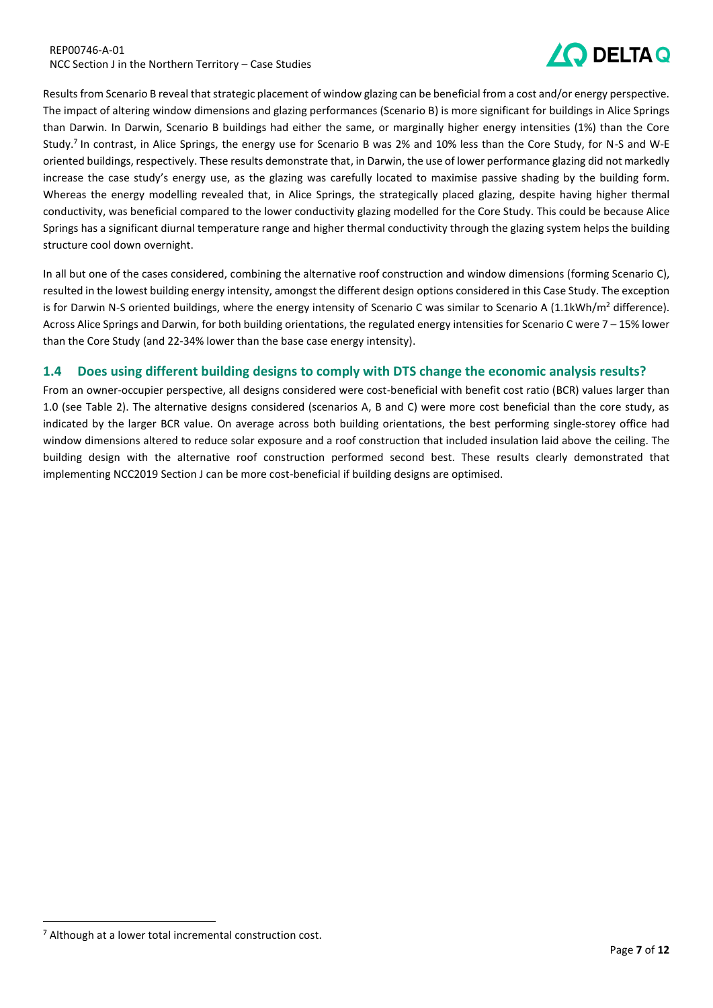#### REP00746-A-01 NCC Section J in the Northern Territory – Case Studies



Results from Scenario B reveal that strategic placement of window glazing can be beneficial from a cost and/or energy perspective. The impact of altering window dimensions and glazing performances (Scenario B) is more significant for buildings in Alice Springs than Darwin. In Darwin, Scenario B buildings had either the same, or marginally higher energy intensities (1%) than the Core Study.<sup>7</sup> In contrast, in Alice Springs, the energy use for Scenario B was 2% and 10% less than the Core Study, for N-S and W-E oriented buildings, respectively. These results demonstrate that, in Darwin, the use of lower performance glazing did not markedly increase the case study's energy use, as the glazing was carefully located to maximise passive shading by the building form. Whereas the energy modelling revealed that, in Alice Springs, the strategically placed glazing, despite having higher thermal conductivity, was beneficial compared to the lower conductivity glazing modelled for the Core Study. This could be because Alice Springs has a significant diurnal temperature range and higher thermal conductivity through the glazing system helps the building structure cool down overnight.

In all but one of the cases considered, combining the alternative roof construction and window dimensions (forming Scenario C), resulted in the lowest building energy intensity, amongst the different design options considered in this Case Study. The exception is for Darwin N-S oriented buildings, where the energy intensity of Scenario C was similar to Scenario A  $(1.1kWh/m<sup>2</sup>$  difference). Across Alice Springs and Darwin, for both building orientations, the regulated energy intensities for Scenario C were 7 – 15% lower than the Core Study (and 22-34% lower than the base case energy intensity).

## <span id="page-6-0"></span>**1.4 Does using different building designs to comply with DTS change the economic analysis results?**

From an owner-occupier perspective, all designs considered were cost-beneficial with benefit cost ratio (BCR) values larger than 1.0 (see [Table 2\)](#page-5-2). The alternative designs considered (scenarios A, B and C) were more cost beneficial than the core study, as indicated by the larger BCR value. On average across both building orientations, the best performing single-storey office had window dimensions altered to reduce solar exposure and a roof construction that included insulation laid above the ceiling. The building design with the alternative roof construction performed second best. These results clearly demonstrated that implementing NCC2019 Section J can be more cost-beneficial if building designs are optimised.

<sup>&</sup>lt;sup>7</sup> Although at a lower total incremental construction cost.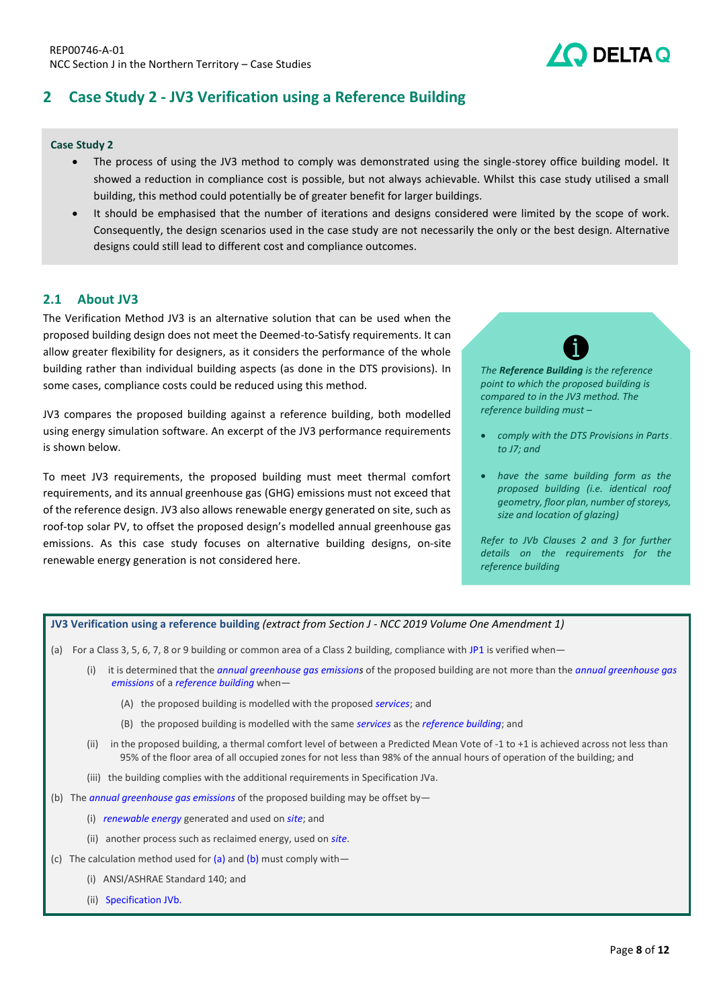## <span id="page-7-0"></span>**2 Case Study 2 - JV3 Verification using a Reference Building**

#### **Case Study 2**

- The process of using the JV3 method to comply was demonstrated using the single-storey office building model. It showed a reduction in compliance cost is possible, but not always achievable. Whilst this case study utilised a small building, this method could potentially be of greater benefit for larger buildings.
- It should be emphasised that the number of iterations and designs considered were limited by the scope of work. Consequently, the design scenarios used in the case study are not necessarily the only or the best design. Alternative designs could still lead to different cost and compliance outcomes.

### <span id="page-7-1"></span>**2.1 About JV3**

The Verification Method JV3 is an alternative solution that can be used when the proposed building design does not meet the Deemed-to-Satisfy requirements. It can allow greater flexibility for designers, as it considers the performance of the whole building rather than individual building aspects (as done in the DTS provisions). In some cases, compliance costs could be reduced using this method.

JV3 compares the proposed building against a reference building, both modelled using energy simulation software. An excerpt of the JV3 performance requirements is shown below.

To meet JV3 requirements, the proposed building must meet thermal comfort requirements, and its annual greenhouse gas (GHG) emissions must not exceed that of the reference design. JV3 also allows renewable energy generated on site, such as roof-top solar PV, to offset the proposed design's modelled annual greenhouse gas emissions. As this case study focuses on alternative building designs, on-site renewable energy generation is not considered here.



DELTA Q

*The Reference Building is the reference point to which the proposed building is compared to in the JV3 method. The reference building must –*

- comply with the DTS Provisions in Parts. *to J7; and*
- *have the same building form as the proposed building (i.e. identical roof geometry, floor plan, number of storeys, size and location of glazing)*

*Refer to JVb Clauses 2 and 3 for further details on the requirements for the reference building*

#### **JV3 Verification using a reference building** *(extract from Section J - NCC 2019 Volume One Amendment 1)*

- (a) For a Class 3, 5, 6, 7, 8 or 9 building or common area of a Class 2 building, compliance with [JP1](https://ncc.abcb.gov.au/editions/2019-a1/ncc-2019-volume-one-amendment-1/section-j-energy-efficiency/section-j-energy#id3e871c4b-7d6d-47f3-bbb6-dccc9ce706c4) is verified when—
	- (i) it is determined that the *annual greenhouse gas emissions* of the proposed building are not more than the *annual greenhouse gas emissions* of a *reference building* when—
		- (A) the proposed building is modelled with the proposed *services*; and
		- (B) the proposed building is modelled with the same *services* as the *reference building*; and
	- (ii) in the proposed building, a [thermal comfort level](https://ncc.abcb.gov.au/editions/2019-a1/ncc-2019-volume-three-amendment-1/schedule-3-defined-terms/schedule-3-definitions#id02de30be-e185-4554-ac97-d5f75f7031a3) of between a [Predicted Mean Vote](https://ncc.abcb.gov.au/editions/2019-a1/ncc-2019-volume-three-amendment-1/schedule-3-defined-terms/schedule-3-definitions#id5282c0f9-1971-429a-88ce-68ced9e36410) of -1 to +1 is achieved across not less than 95% of the [floor area](https://ncc.abcb.gov.au/editions/2019-a1/ncc-2019-volume-three-amendment-1/schedule-3-defined-terms/schedule-3-definitions#id63a71404-bf7c-4cc9-bd4d-f8bf033720b8) of all occupied zones for not less than 98% of the annual [hours of operation](https://ncc.abcb.gov.au/editions/2019-a1/ncc-2019-volume-three-amendment-1/schedule-3-defined-terms/schedule-3-definitions#id2f3e151f-ab60-45d4-be1a-6752d44af26a) of the building; and
	- (iii) the building complies with the additional requirements in [Specification JVa.](https://ncc.abcb.gov.au/editions/2019-a1/ncc-2019-volume-one-amendment-1/section-j-energy-efficiency/specification-jva#id615d8a39-1621-4bf4-95d5-88a7379f03a6)
- (b) The *annual greenhouse gas emissions* of the proposed building may be offset by—
	- (i) *renewable energy* generated and used on *site*; and
	- (ii) another process such as reclaimed energy, used on *site*.
- (c) The calculation method used for  $(a)$  and  $(b)$  must comply with-
	- (i) ANSI/ASHRAE Standard 140; and
	- (ii) Specification JVb.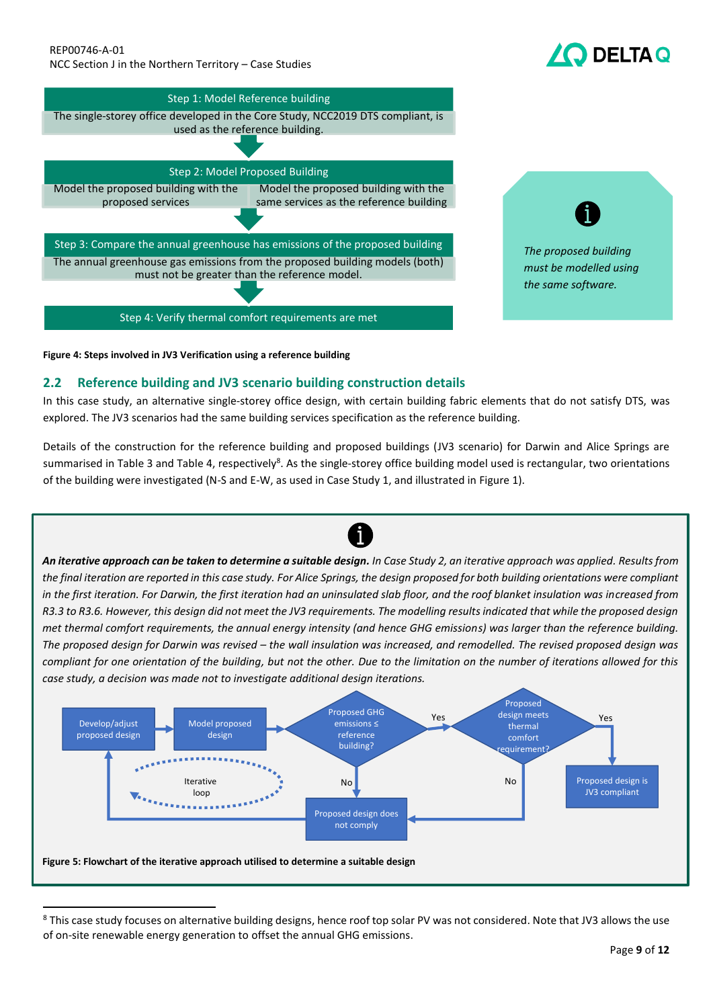#### REP00746-A-01 NCC Section J in the Northern Territory – Case Studies

## **DELTA Q**





<span id="page-8-0"></span>**Figure 4: Steps involved in JV3 Verification using a reference building**

## **2.2 Reference building and JV3 scenario building construction details**

In this case study, an alternative single-storey office design, with certain building fabric elements that do not satisfy DTS, was explored. The JV3 scenarios had the same building services specification as the reference building.

Details of the construction for the reference building and proposed buildings (JV3 scenario) for Darwin and Alice Springs are summarised in [Table 3](#page-9-0) an[d Table 4,](#page-9-1) respectively<sup>8</sup>. As the single-storey office building model used is rectangular, two orientations of the building were investigated (N-S and E-W, as used in Case Study 1, and illustrated in [Figure](#page-4-0) 1).



<sup>8</sup> This case study focuses on alternative building designs, hence roof top solar PV was not considered. Note that JV3 allows the use of on-site renewable energy generation to offset the annual GHG emissions.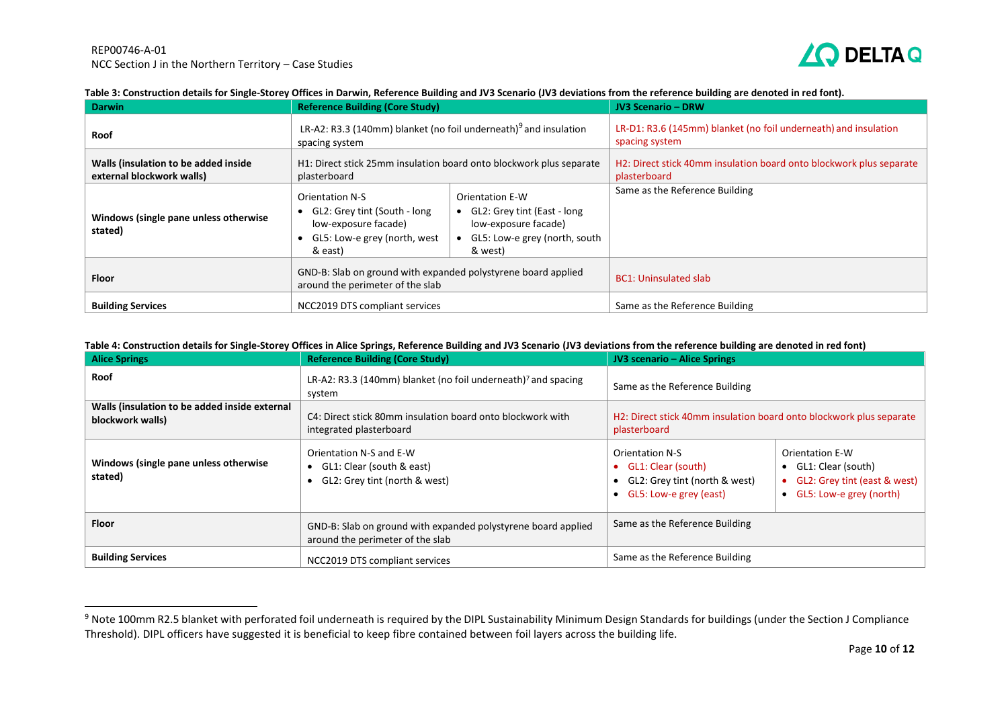

#### **Table 3: Construction details for Single-Storey Offices in Darwin, Reference Building and JV3 Scenario (JV3 deviations from the reference building are denoted in red font).**

| <b>Darwin</b>                                                     | <b>Reference Building (Core Study)</b>                                                                                      |                                                                                                                      | <b>JV3 Scenario - DRW</b>                                                         |
|-------------------------------------------------------------------|-----------------------------------------------------------------------------------------------------------------------------|----------------------------------------------------------------------------------------------------------------------|-----------------------------------------------------------------------------------|
| <b>Roof</b>                                                       | LR-A2: R3.3 (140mm) blanket (no foil underneath) <sup>9</sup> and insulation<br>spacing system                              |                                                                                                                      | LR-D1: R3.6 (145mm) blanket (no foil underneath) and insulation<br>spacing system |
| Walls (insulation to be added inside<br>external blockwork walls) | H1: Direct stick 25mm insulation board onto blockwork plus separate<br>plasterboard                                         | H2: Direct stick 40mm insulation board onto blockwork plus separate<br>plasterboard                                  |                                                                                   |
| Windows (single pane unless otherwise<br>stated)                  | <b>Orientation N-S</b><br>• GL2: Grey tint (South - long<br>low-exposure facade)<br>GL5: Low-e grey (north, west<br>& east) | Orientation E-W<br>• GL2: Grey tint (East - long<br>low-exposure facade)<br>GL5: Low-e grey (north, south<br>& west) | Same as the Reference Building                                                    |
| <b>Floor</b>                                                      | GND-B: Slab on ground with expanded polystyrene board applied<br>around the perimeter of the slab                           |                                                                                                                      | <b>BC1: Uninsulated slab</b>                                                      |
| <b>Building Services</b>                                          | NCC2019 DTS compliant services                                                                                              |                                                                                                                      | Same as the Reference Building                                                    |

#### **Table 4: Construction details for Single-Storey Offices in Alice Springs, Reference Building and JV3 Scenario (JV3 deviations from the reference building are denoted in red font)**

<span id="page-9-0"></span>

| <b>Alice Springs</b>                                              | <b>Reference Building (Core Study)</b>                                                                                                                                       | <b>JV3 scenario - Alice Springs</b>                                                                                                                                                                                            |  |
|-------------------------------------------------------------------|------------------------------------------------------------------------------------------------------------------------------------------------------------------------------|--------------------------------------------------------------------------------------------------------------------------------------------------------------------------------------------------------------------------------|--|
| Roof                                                              | LR-A2: R3.3 (140mm) blanket (no foil underneath) <sup>7</sup> and spacing<br>system                                                                                          | Same as the Reference Building                                                                                                                                                                                                 |  |
| Walls (insulation to be added inside external<br>blockwork walls) | H2: Direct stick 40mm insulation board onto blockwork plus separate<br>C4: Direct stick 80mm insulation board onto blockwork with<br>integrated plasterboard<br>plasterboard |                                                                                                                                                                                                                                |  |
| Windows (single pane unless otherwise<br>stated)                  | Orientation N-S and E-W<br>• GL1: Clear (south & east)<br>GL2: Grey tint (north & west)                                                                                      | <b>Orientation N-S</b><br><b>Orientation E-W</b><br>GL1: Clear (south)<br>$\bullet$ GL1: Clear (south)<br>GL2: Grey tint (east & west)<br>GL2: Grey tint (north & west)<br>• GL5: Low-e grey (north)<br>GL5: Low-e grey (east) |  |
| <b>Floor</b>                                                      | GND-B: Slab on ground with expanded polystyrene board applied<br>around the perimeter of the slab                                                                            | Same as the Reference Building                                                                                                                                                                                                 |  |
| <b>Building Services</b>                                          | NCC2019 DTS compliant services                                                                                                                                               | Same as the Reference Building                                                                                                                                                                                                 |  |

<span id="page-9-1"></span><sup>&</sup>lt;sup>9</sup> Note 100mm R2.5 blanket with perforated foil underneath is required by the DIPL Sustainability Minimum Design Standards for buildings (under the Section J Compliance Threshold). DIPL officers have suggested it is beneficial to keep fibre contained between foil layers across the building life.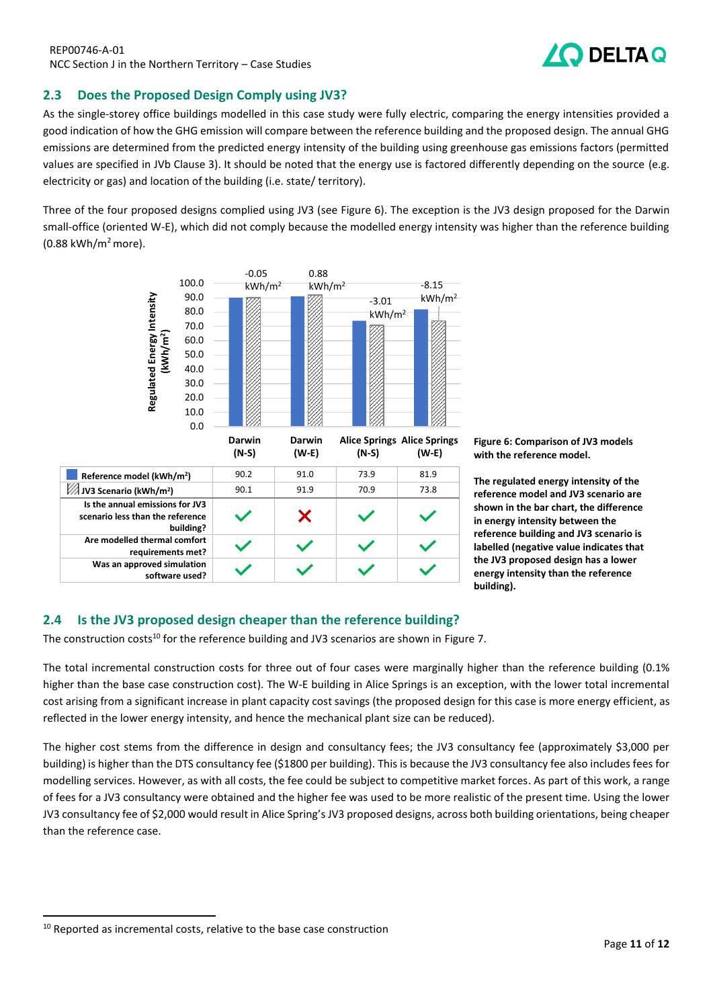## <span id="page-10-0"></span>**2.3 Does the Proposed Design Comply using JV3?**

As the single-storey office buildings modelled in this case study were fully electric, comparing the energy intensities provided a good indication of how the GHG emission will compare between the reference building and the proposed design. The annual GHG emissions are determined from the predicted energy intensity of the building using greenhouse gas emissions factors (permitted values are specified in JVb Clause 3). It should be noted that the energy use is factored differently depending on the source (e.g. electricity or gas) and location of the building (i.e. state/ territory).

Three of the four proposed designs complied using JV3 (see [Figure 6\)](#page-10-2). The exception is the JV3 design proposed for the Darwin small-office (oriented W-E), which did not comply because the modelled energy intensity was higher than the reference building  $(0.88 \text{ kWh/m}^2 \text{ more}).$ 



<span id="page-10-2"></span>**Figure 6: Comparison of JV3 models with the reference model.** 

**The regulated energy intensity of the reference model and JV3 scenario are shown in the bar chart, the difference in energy intensity between the reference building and JV3 scenario is labelled (negative value indicates that the JV3 proposed design has a lower energy intensity than the reference building).**

## <span id="page-10-1"></span>**2.4 Is the JV3 proposed design cheaper than the reference building?**

The construction costs<sup>10</sup> for the reference building and JV3 scenarios are shown in [Figure 7.](#page-11-2)

The total incremental construction costs for three out of four cases were marginally higher than the reference building (0.1% higher than the base case construction cost). The W-E building in Alice Springs is an exception, with the lower total incremental cost arising from a significant increase in plant capacity cost savings (the proposed design for this case is more energy efficient, as reflected in the lower energy intensity, and hence the mechanical plant size can be reduced).

The higher cost stems from the difference in design and consultancy fees; the JV3 consultancy fee (approximately \$3,000 per building) is higher than the DTS consultancy fee (\$1800 per building). This is because the JV3 consultancy fee also includes fees for modelling services. However, as with all costs, the fee could be subject to competitive market forces. As part of this work, a range of fees for a JV3 consultancy were obtained and the higher fee was used to be more realistic of the present time. Using the lower JV3 consultancy fee of \$2,000 would result in Alice Spring's JV3 proposed designs, across both building orientations, being cheaper than the reference case.

<sup>&</sup>lt;sup>10</sup> Reported as incremental costs, relative to the base case construction